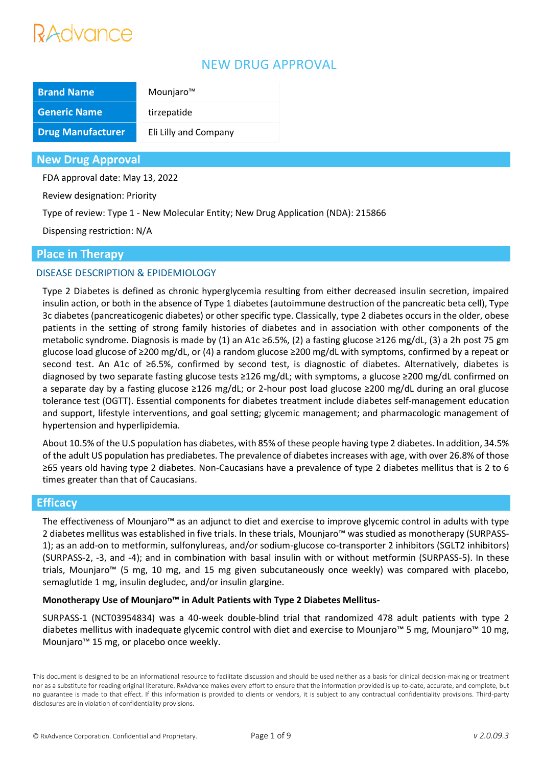# **Advance**

# NEW DRUG APPROVAL

| <b>Brand Name</b>        | Mounjaro™             |
|--------------------------|-----------------------|
| <b>Generic Name</b>      | tirzepatide           |
| <b>Drug Manufacturer</b> | Eli Lilly and Company |

### **New Drug Approval**

FDA approval date: May 13, 2022

Review designation: Priority

Type of review: Type 1 - New Molecular Entity; New Drug Application (NDA): 215866

Dispensing restriction: N/A

## **Place in Therapy**

## DISEASE DESCRIPTION & EPIDEMIOLOGY

Type 2 Diabetes is defined as chronic hyperglycemia resulting from either decreased insulin secretion, impaired insulin action, or both in the absence of Type 1 diabetes (autoimmune destruction of the pancreatic beta cell), Type 3c diabetes (pancreaticogenic diabetes) or other specific type. Classically, type 2 diabetes occurs in the older, obese patients in the setting of strong family histories of diabetes and in association with other components of the metabolic syndrome. Diagnosis is made by (1) an A1c ≥6.5%, (2) a fasting glucose ≥126 mg/dL, (3) a 2h post 75 gm glucose load glucose of ≥200 mg/dL, or (4) a random glucose ≥200 mg/dL with symptoms, confirmed by a repeat or second test. An A1c of ≥6.5%, confirmed by second test, is diagnostic of diabetes. Alternatively, diabetes is diagnosed by two separate fasting glucose tests ≥126 mg/dL; with symptoms, a glucose ≥200 mg/dL confirmed on a separate day by a fasting glucose ≥126 mg/dL; or 2-hour post load glucose ≥200 mg/dL during an oral glucose tolerance test (OGTT). Essential components for diabetes treatment include diabetes self-management education and support, lifestyle interventions, and goal setting; glycemic management; and pharmacologic management of hypertension and hyperlipidemia.

About 10.5% of the U.S population has diabetes, with 85% of these people having type 2 diabetes. In addition, 34.5% of the adult US population has prediabetes. The prevalence of diabetes increases with age, with over 26.8% of those ≥65 years old having type 2 diabetes. Non-Caucasians have a prevalence of type 2 diabetes mellitus that is 2 to 6 times greater than that of Caucasians.

## **Efficacy**

The effectiveness of Mounjaro™ as an adjunct to diet and exercise to improve glycemic control in adults with type 2 diabetes mellitus was established in five trials. In these trials, Mounjaro™ was studied as monotherapy (SURPASS-1); as an add-on to metformin, sulfonylureas, and/or sodium-glucose co-transporter 2 inhibitors (SGLT2 inhibitors) (SURPASS-2, -3, and -4); and in combination with basal insulin with or without metformin (SURPASS-5). In these trials, Mounjaro™ (5 mg, 10 mg, and 15 mg given subcutaneously once weekly) was compared with placebo, semaglutide 1 mg, insulin degludec, and/or insulin glargine.

#### **Monotherapy Use of Mounjaro™ in Adult Patients with Type 2 Diabetes Mellitus-**

SURPASS-1 (NCT03954834) was a 40-week double-blind trial that randomized 478 adult patients with type 2 diabetes mellitus with inadequate glycemic control with diet and exercise to Mounjaro™ 5 mg, Mounjaro™ 10 mg, Mounjaro™ 15 mg, or placebo once weekly.

This document is designed to be an informational resource to facilitate discussion and should be used neither as a basis for clinical decision-making or treatment nor as a substitute for reading original literature. RxAdvance makes every effort to ensure that the information provided is up-to-date, accurate, and complete, but no guarantee is made to that effect. If this information is provided to clients or vendors, it is subject to any contractual confidentiality provisions. Third-party disclosures are in violation of confidentiality provisions.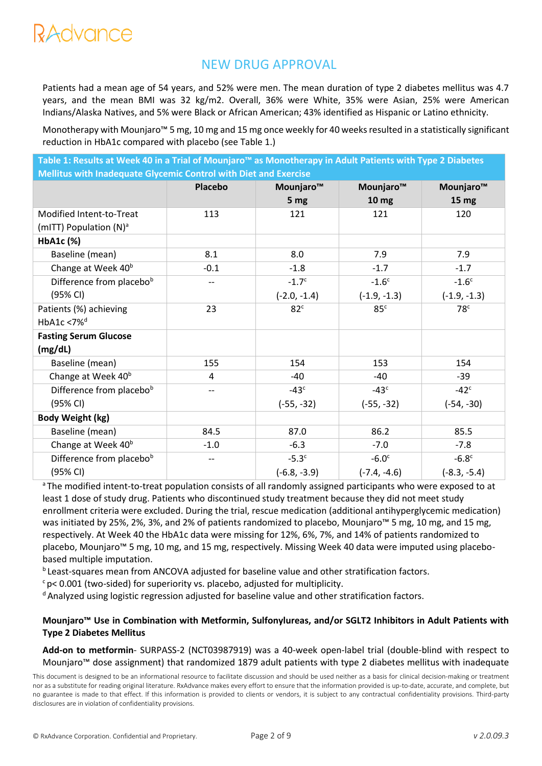# RAdvance

# NEW DRUG APPROVAL

Patients had a mean age of 54 years, and 52% were men. The mean duration of type 2 diabetes mellitus was 4.7 years, and the mean BMI was 32 kg/m2. Overall, 36% were White, 35% were Asian, 25% were American Indians/Alaska Natives, and 5% were Black or African American; 43% identified as Hispanic or Latino ethnicity.

Monotherapy with Mounjaro™ 5 mg, 10 mg and 15 mg once weekly for 40 weeks resulted in a statistically significant reduction in HbA1c compared with placebo (see Table 1.)

**Table 1: Results at Week 40 in a Trial of Mounjaro™ as Monotherapy in Adult Patients with Type 2 Diabetes Mellitus with Inadequate Glycemic Control with Diet and Exercise**

| <u>MCMINO MINI MUNCUNUL OIJUCHIIU COMICIO MINI PICI UMA EACHOSC</u> |                |                       |                  |                       |
|---------------------------------------------------------------------|----------------|-----------------------|------------------|-----------------------|
|                                                                     | <b>Placebo</b> | Mounjaro <sup>™</sup> | Mounjaro™        | Mounjaro <sup>™</sup> |
|                                                                     |                | 5 <sub>mg</sub>       | 10 <sub>mg</sub> | 15 <sub>mg</sub>      |
| Modified Intent-to-Treat                                            | 113            | 121                   | 121              | 120                   |
| (mITT) Population (N) <sup>a</sup>                                  |                |                       |                  |                       |
| HbA1c (%)                                                           |                |                       |                  |                       |
| Baseline (mean)                                                     | 8.1            | 8.0                   | 7.9              | 7.9                   |
| Change at Week 40 <sup>b</sup>                                      | $-0.1$         | $-1.8$                | $-1.7$           | $-1.7$                |
| Difference from placebob                                            | --             | $-1.7c$               | $-1.6c$          | $-1.6c$               |
| (95% CI)                                                            |                | $(-2.0, -1.4)$        | $(-1.9, -1.3)$   | $(-1.9, -1.3)$        |
| Patients (%) achieving                                              | 23             | 82 <sup>c</sup>       | 85 <sup>c</sup>  | 78 <sup>c</sup>       |
| HbA1c <7% <sup>d</sup>                                              |                |                       |                  |                       |
| <b>Fasting Serum Glucose</b>                                        |                |                       |                  |                       |
| (mg/dL)                                                             |                |                       |                  |                       |
| Baseline (mean)                                                     | 155            | 154                   | 153              | 154                   |
| Change at Week 40 <sup>b</sup>                                      | 4              | -40                   | -40              | $-39$                 |
| Difference from placebob                                            | --             | $-43c$                | $-43c$           | $-42c$                |
| (95% CI)                                                            |                | $(-55, -32)$          | $(-55, -32)$     | $(-54, -30)$          |
| <b>Body Weight (kg)</b>                                             |                |                       |                  |                       |
| Baseline (mean)                                                     | 84.5           | 87.0                  | 86.2             | 85.5                  |
| Change at Week 40 <sup>b</sup>                                      | $-1.0$         | $-6.3$                | $-7.0$           | $-7.8$                |
| Difference from placebob                                            | --             | $-5.3c$               | $-6.0c$          | $-6.8c$               |
| (95% CI)                                                            |                | $(-6.8, -3.9)$        | $(-7.4, -4.6)$   | $(-8.3, -5.4)$        |

<sup>a</sup>The modified intent-to-treat population consists of all randomly assigned participants who were exposed to at least 1 dose of study drug. Patients who discontinued study treatment because they did not meet study enrollment criteria were excluded. During the trial, rescue medication (additional antihyperglycemic medication) was initiated by 25%, 2%, 3%, and 2% of patients randomized to placebo, Mounjaro™ 5 mg, 10 mg, and 15 mg, respectively. At Week 40 the HbA1c data were missing for 12%, 6%, 7%, and 14% of patients randomized to placebo, Mounjaro™ 5 mg, 10 mg, and 15 mg, respectively. Missing Week 40 data were imputed using placebobased multiple imputation.

<sup>b</sup> Least-squares mean from ANCOVA adjusted for baseline value and other stratification factors.

 $c$  p< 0.001 (two-sided) for superiority vs. placebo, adjusted for multiplicity.

<sup>d</sup> Analyzed using logistic regression adjusted for baseline value and other stratification factors.

### **Mounjaro™ Use in Combination with Metformin, Sulfonylureas, and/or SGLT2 Inhibitors in Adult Patients with Type 2 Diabetes Mellitus**

**Add-on to metformin**- SURPASS-2 (NCT03987919) was a 40-week open-label trial (double-blind with respect to Mounjaro™ dose assignment) that randomized 1879 adult patients with type 2 diabetes mellitus with inadequate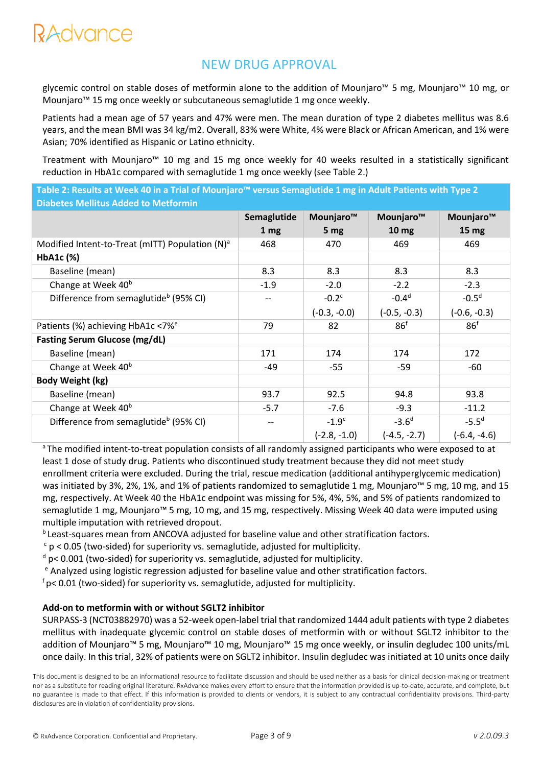glycemic control on stable doses of metformin alone to the addition of Mounjaro™ 5 mg, Mounjaro™ 10 mg, or Mounjaro™ 15 mg once weekly or subcutaneous semaglutide 1 mg once weekly.

Patients had a mean age of 57 years and 47% were men. The mean duration of type 2 diabetes mellitus was 8.6 years, and the mean BMI was 34 kg/m2. Overall, 83% were White, 4% were Black or African American, and 1% were Asian; 70% identified as Hispanic or Latino ethnicity.

Treatment with Mounjaro™ 10 mg and 15 mg once weekly for 40 weeks resulted in a statistically significant reduction in HbA1c compared with semaglutide 1 mg once weekly (see Table 2.)

| Table 2: Results at Week 40 in a Trial of Mounjaro™ versus Semaglutide 1 mg in Adult Patients with Type 2, |  |
|------------------------------------------------------------------------------------------------------------|--|
| <b>Diabetes Mellitus Added to Metformin \</b>                                                              |  |

|                                                    | Semaglutide     | Mounjaro™       | Mounjaro™        | Mounjaro™       |
|----------------------------------------------------|-----------------|-----------------|------------------|-----------------|
|                                                    | 1 <sub>mg</sub> | 5 <sub>mg</sub> | 10 <sub>mg</sub> | $15 \text{ mg}$ |
| Modified Intent-to-Treat (mITT) Population $(N)^a$ | 468             | 470             | 469              | 469             |
| HbA1c (%)                                          |                 |                 |                  |                 |
| Baseline (mean)                                    | 8.3             | 8.3             | 8.3              | 8.3             |
| Change at Week 40 <sup>b</sup>                     | $-1.9$          | $-2.0$          | $-2.2$           | $-2.3$          |
| Difference from semaglutide <sup>b</sup> (95% CI)  |                 | $-0.2c$         | $-0.4d$          | $-0.5d$         |
|                                                    |                 | $(-0.3, -0.0)$  | $(-0.5, -0.3)$   | $(-0.6, -0.3)$  |
| Patients (%) achieving HbA1c <7% <sup>e</sup>      | 79              | 82              | 86 <sup>f</sup>  | 86 <sup>f</sup> |
| <b>Fasting Serum Glucose (mg/dL)</b>               |                 |                 |                  |                 |
| Baseline (mean)                                    | 171             | 174             | 174              | 172             |
| Change at Week 40 <sup>b</sup>                     | $-49$           | $-55$           | $-59$            | -60             |
| Body Weight (kg)                                   |                 |                 |                  |                 |
| Baseline (mean)                                    | 93.7            | 92.5            | 94.8             | 93.8            |
| Change at Week 40 <sup>b</sup>                     | $-5.7$          | $-7.6$          | $-9.3$           | $-11.2$         |
| Difference from semaglutide <sup>b</sup> (95% CI)  | --              | $-1.9c$         | $-3.6d$          | $-5.5^{d}$      |
|                                                    |                 | $(-2.8, -1.0)$  | $(-4.5, -2.7)$   | $(-6.4, -4.6)$  |

<sup>a</sup>The modified intent-to-treat population consists of all randomly assigned participants who were exposed to at least 1 dose of study drug. Patients who discontinued study treatment because they did not meet study enrollment criteria were excluded. During the trial, rescue medication (additional antihyperglycemic medication) was initiated by 3%, 2%, 1%, and 1% of patients randomized to semaglutide 1 mg, Mounjaro™ 5 mg, 10 mg, and 15 mg, respectively. At Week 40 the HbA1c endpoint was missing for 5%, 4%, 5%, and 5% of patients randomized to semaglutide 1 mg, Mounjaro™ 5 mg, 10 mg, and 15 mg, respectively. Missing Week 40 data were imputed using multiple imputation with retrieved dropout.

**b** Least-squares mean from ANCOVA adjusted for baseline value and other stratification factors.

 $c$  p < 0.05 (two-sided) for superiority vs. semaglutide, adjusted for multiplicity.

 $d$  p< 0.001 (two-sided) for superiority vs. semaglutide, adjusted for multiplicity.

<sup>e</sup> Analyzed using logistic regression adjusted for baseline value and other stratification factors.

 $f$ p< 0.01 (two-sided) for superiority vs. semaglutide, adjusted for multiplicity.

#### **Add-on to metformin with or without SGLT2 inhibitor**

SURPASS-3 (NCT03882970) was a 52-week open-label trial that randomized 1444 adult patients with type 2 diabetes mellitus with inadequate glycemic control on stable doses of metformin with or without SGLT2 inhibitor to the addition of Mounjaro™ 5 mg, Mounjaro™ 10 mg, Mounjaro™ 15 mg once weekly, or insulin degludec 100 units/mL once daily. In this trial, 32% of patients were on SGLT2 inhibitor. Insulin degludec was initiated at 10 units once daily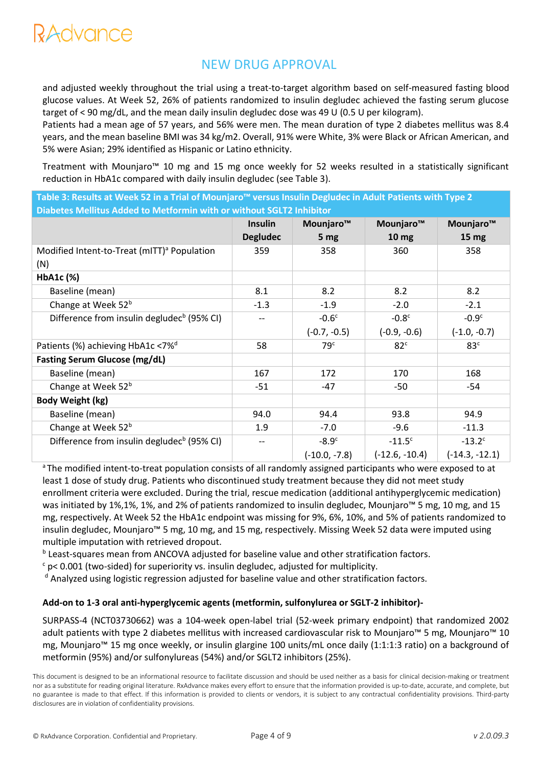and adjusted weekly throughout the trial using a treat-to-target algorithm based on self-measured fasting blood glucose values. At Week 52, 26% of patients randomized to insulin degludec achieved the fasting serum glucose target of < 90 mg/dL, and the mean daily insulin degludec dose was 49 U (0.5 U per kilogram).

Patients had a mean age of 57 years, and 56% were men. The mean duration of type 2 diabetes mellitus was 8.4 years, and the mean baseline BMI was 34 kg/m2. Overall, 91% were White, 3% were Black or African American, and 5% were Asian; 29% identified as Hispanic or Latino ethnicity.

Treatment with Mounjaro™ 10 mg and 15 mg once weekly for 52 weeks resulted in a statistically significant reduction in HbA1c compared with daily insulin degludec (see Table 3).

**Table 3: Results at Week 52 in a Trial of Mounjaro™ versus Insulin Degludec in Adult Patients with Type 2 Diabetes Mellitus Added to Metformin with or without SGLT2 Inhibitor**

|                                                                | <b>Insulin</b><br><b>Degludec</b> | Mounjaro™<br>5 <sub>mg</sub> | Mounjaro™<br>10 <sub>mg</sub> | Mounjaro™<br>15 <sub>mg</sub> |
|----------------------------------------------------------------|-----------------------------------|------------------------------|-------------------------------|-------------------------------|
| Modified Intent-to-Treat (mITT) <sup>a</sup> Population<br>(N) | 359                               | 358                          | 360                           | 358                           |
| HbA1c (%)                                                      |                                   |                              |                               |                               |
| Baseline (mean)                                                | 8.1                               | 8.2                          | 8.2                           | 8.2                           |
| Change at Week 52 <sup>b</sup>                                 | $-1.3$                            | $-1.9$                       | $-2.0$                        | $-2.1$                        |
| Difference from insulin degludec <sup>b</sup> (95% CI)         |                                   | $-0.6c$                      | $-0.8c$                       | $-0.9c$                       |
|                                                                |                                   | $(-0.7, -0.5)$               | $(-0.9, -0.6)$                | $(-1.0, -0.7)$                |
| Patients (%) achieving HbA1c <7% <sup>d</sup>                  | 58                                | 79 <sup>c</sup>              | 82 <sup>c</sup>               | 83 <sup>c</sup>               |
| <b>Fasting Serum Glucose (mg/dL)</b>                           |                                   |                              |                               |                               |
| Baseline (mean)                                                | 167                               | 172                          | 170                           | 168                           |
| Change at Week 52 <sup>b</sup>                                 | -51                               | $-47$                        | -50                           | -54                           |
| <b>Body Weight (kg)</b>                                        |                                   |                              |                               |                               |
| Baseline (mean)                                                | 94.0                              | 94.4                         | 93.8                          | 94.9                          |
| Change at Week 52 <sup>b</sup>                                 | 1.9                               | $-7.0$                       | $-9.6$                        | $-11.3$                       |
| Difference from insulin degludec <sup>b</sup> (95% CI)         |                                   | $-8.9c$                      | $-11.5c$                      | $-13.2$ <sup>c</sup>          |
|                                                                |                                   | $(-10.0, -7.8)$              | $(-12.6, -10.4)$              | $(-14.3, -12.1)$              |

<sup>a</sup>The modified intent-to-treat population consists of all randomly assigned participants who were exposed to at least 1 dose of study drug. Patients who discontinued study treatment because they did not meet study enrollment criteria were excluded. During the trial, rescue medication (additional antihyperglycemic medication) was initiated by 1%,1%, 1%, and 2% of patients randomized to insulin degludec, Mounjaro™ 5 mg, 10 mg, and 15 mg, respectively. At Week 52 the HbA1c endpoint was missing for 9%, 6%, 10%, and 5% of patients randomized to insulin degludec, Mounjaro™ 5 mg, 10 mg, and 15 mg, respectively. Missing Week 52 data were imputed using multiple imputation with retrieved dropout.

**b** Least-squares mean from ANCOVA adjusted for baseline value and other stratification factors.

 $c$  p< 0.001 (two-sided) for superiority vs. insulin degludec, adjusted for multiplicity.

<sup>d</sup> Analyzed using logistic regression adjusted for baseline value and other stratification factors.

#### **Add-on to 1-3 oral anti-hyperglycemic agents (metformin, sulfonylurea or SGLT-2 inhibitor)-**

SURPASS-4 (NCT03730662) was a 104-week open-label trial (52-week primary endpoint) that randomized 2002 adult patients with type 2 diabetes mellitus with increased cardiovascular risk to Mounjaro™ 5 mg, Mounjaro™ 10 mg, Mounjaro™ 15 mg once weekly, or insulin glargine 100 units/mL once daily (1:1:1:3 ratio) on a background of metformin (95%) and/or sulfonylureas (54%) and/or SGLT2 inhibitors (25%).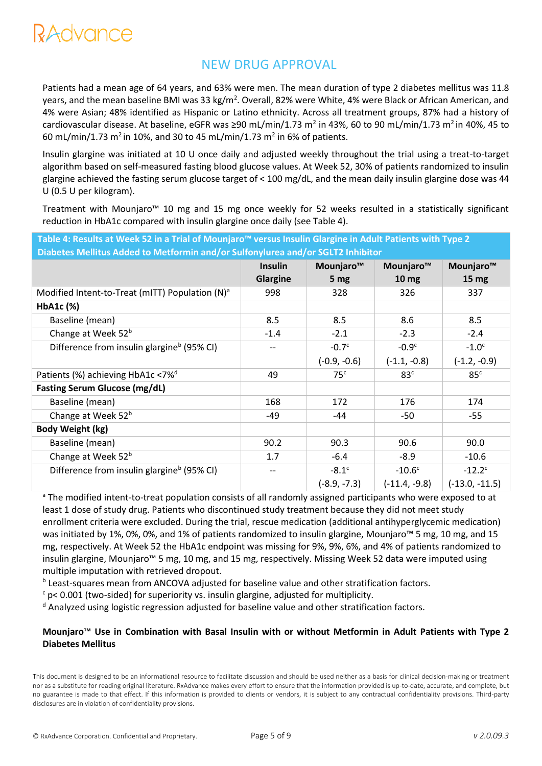Patients had a mean age of 64 years, and 63% were men. The mean duration of type 2 diabetes mellitus was 11.8 years, and the mean baseline BMI was 33 kg/m<sup>2</sup>. Overall, 82% were White, 4% were Black or African American, and 4% were Asian; 48% identified as Hispanic or Latino ethnicity. Across all treatment groups, 87% had a history of cardiovascular disease. At baseline, eGFR was ≥90 mL/min/1.73 m<sup>2</sup> in 43%, 60 to 90 mL/min/1.73 m<sup>2</sup> in 40%, 45 to 60 mL/min/1.73 m<sup>2</sup> in 10%, and 30 to 45 mL/min/1.73 m<sup>2</sup> in 6% of patients.

Insulin glargine was initiated at 10 U once daily and adjusted weekly throughout the trial using a treat-to-target algorithm based on self-measured fasting blood glucose values. At Week 52, 30% of patients randomized to insulin glargine achieved the fasting serum glucose target of < 100 mg/dL, and the mean daily insulin glargine dose was 44 U (0.5 U per kilogram).

Treatment with Mounjaro™ 10 mg and 15 mg once weekly for 52 weeks resulted in a statistically significant reduction in HbA1c compared with insulin glargine once daily (see Table 4).

| Table 4: Results at Week 52 in a Trial of Mounjaro™ versus Insulin Glargine in Adult Patients with Type 2 |                |                 |                  |                       |
|-----------------------------------------------------------------------------------------------------------|----------------|-----------------|------------------|-----------------------|
| Diabetes Mellitus Added to Metformin and/or Sulfonylurea and/or SGLT2 Inhibitor                           |                |                 |                  |                       |
|                                                                                                           | <b>Insulin</b> | Mounjaro™       | Mounjaro™        | Mounjaro <sup>™</sup> |
|                                                                                                           | Glargine       | 5 <sub>mg</sub> | 10 <sub>mg</sub> | 15 <sub>mg</sub>      |
| Modified Intent-to-Treat (mITT) Population (N) <sup>a</sup>                                               | 998            | 328             | 326              | 337                   |
| HbA1c (%)                                                                                                 |                |                 |                  |                       |
| Baseline (mean)                                                                                           | 8.5            | 8.5             | 8.6              | 8.5                   |
| Change at Week 52 <sup>b</sup>                                                                            | $-1.4$         | $-2.1$          | $-2.3$           | $-2.4$                |
| Difference from insulin glargine <sup>b</sup> (95% CI)                                                    |                | $-0.7c$         | $-0.9c$          | $-1.0c$               |
|                                                                                                           |                | $(-0.9, -0.6)$  | $(-1.1, -0.8)$   | $(-1.2, -0.9)$        |
| Patients (%) achieving HbA1c <7% <sup>d</sup>                                                             | 49             | 75 <sup>c</sup> | 83 <sup>c</sup>  | 85 <sup>c</sup>       |
| <b>Fasting Serum Glucose (mg/dL)</b>                                                                      |                |                 |                  |                       |
| Baseline (mean)                                                                                           | 168            | 172             | 176              | 174                   |
| Change at Week 52 <sup>b</sup>                                                                            | -49            | -44             | $-50$            | $-55$                 |
| <b>Body Weight (kg)</b>                                                                                   |                |                 |                  |                       |
| Baseline (mean)                                                                                           | 90.2           | 90.3            | 90.6             | 90.0                  |
| Change at Week 52 <sup>b</sup>                                                                            | 1.7            | $-6.4$          | $-8.9$           | $-10.6$               |
| Difference from insulin glargine <sup>b</sup> (95% CI)                                                    |                | $-8.1c$         | $-10.6c$         | $-12.2c$              |
|                                                                                                           |                | $(-8.9, -7.3)$  | $(-11.4, -9.8)$  | $(-13.0, -11.5)$      |

<sup>a</sup> The modified intent-to-treat population consists of all randomly assigned participants who were exposed to at least 1 dose of study drug. Patients who discontinued study treatment because they did not meet study enrollment criteria were excluded. During the trial, rescue medication (additional antihyperglycemic medication) was initiated by 1%, 0%, 0%, and 1% of patients randomized to insulin glargine, Mounjaro™ 5 mg, 10 mg, and 15 mg, respectively. At Week 52 the HbA1c endpoint was missing for 9%, 9%, 6%, and 4% of patients randomized to insulin glargine, Mounjaro™ 5 mg, 10 mg, and 15 mg, respectively. Missing Week 52 data were imputed using multiple imputation with retrieved dropout.

**b** Least-squares mean from ANCOVA adjusted for baseline value and other stratification factors.

 $c$  p< 0.001 (two-sided) for superiority vs. insulin glargine, adjusted for multiplicity.

<sup>d</sup> Analyzed using logistic regression adjusted for baseline value and other stratification factors.

## **Mounjaro™ Use in Combination with Basal Insulin with or without Metformin in Adult Patients with Type 2 Diabetes Mellitus**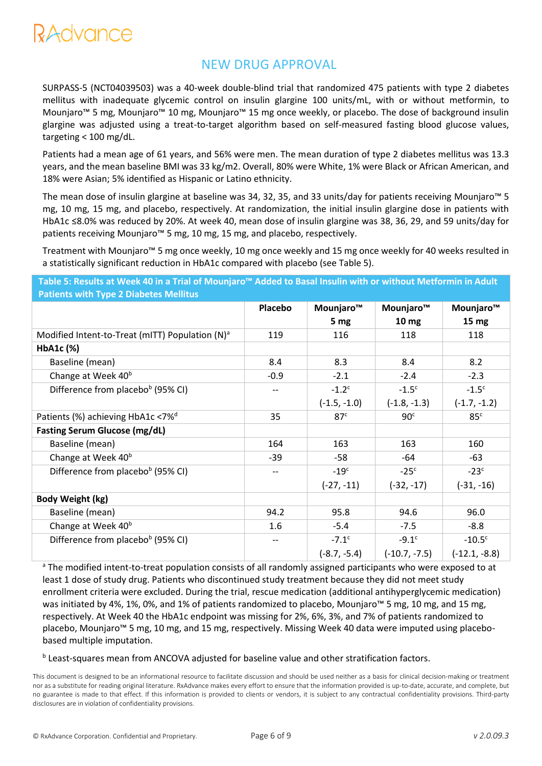

SURPASS-5 (NCT04039503) was a 40-week double-blind trial that randomized 475 patients with type 2 diabetes mellitus with inadequate glycemic control on insulin glargine 100 units/mL, with or without metformin, to Mounjaro™ 5 mg, Mounjaro™ 10 mg, Mounjaro™ 15 mg once weekly, or placebo. The dose of background insulin glargine was adjusted using a treat-to-target algorithm based on self-measured fasting blood glucose values, targeting < 100 mg/dL.

Patients had a mean age of 61 years, and 56% were men. The mean duration of type 2 diabetes mellitus was 13.3 years, and the mean baseline BMI was 33 kg/m2. Overall, 80% were White, 1% were Black or African American, and 18% were Asian; 5% identified as Hispanic or Latino ethnicity.

The mean dose of insulin glargine at baseline was 34, 32, 35, and 33 units/day for patients receiving Mounjaro™ 5 mg, 10 mg, 15 mg, and placebo, respectively. At randomization, the initial insulin glargine dose in patients with HbA1c ≤8.0% was reduced by 20%. At week 40, mean dose of insulin glargine was 38, 36, 29, and 59 units/day for patients receiving Mounjaro™ 5 mg, 10 mg, 15 mg, and placebo, respectively.

Treatment with Mounjaro™ 5 mg once weekly, 10 mg once weekly and 15 mg once weekly for 40 weeks resulted in a statistically significant reduction in HbA1c compared with placebo (see Table 5).

**Table 5: Results at Week 40 in a Trial of Mounjaro™ Added to Basal Insulin with or without Metformin in Adult Patients with Type 2 Diabetes Mellitus**

| <b>Fations</b> with Type 2 Diabetes inclinus       |         |                     |                  |                  |  |
|----------------------------------------------------|---------|---------------------|------------------|------------------|--|
|                                                    | Placebo | Mounjaro™           | Mounjaro™        | Mounjaro™        |  |
|                                                    |         | 5 <sub>mg</sub>     | 10 <sub>mg</sub> | 15 <sub>mg</sub> |  |
| Modified Intent-to-Treat (mITT) Population $(N)^a$ | 119     | 116                 | 118              | 118              |  |
| HbA1c (%)                                          |         |                     |                  |                  |  |
| Baseline (mean)                                    | 8.4     | 8.3                 | 8.4              | 8.2              |  |
| Change at Week 40 <sup>b</sup>                     | $-0.9$  | $-2.1$              | $-2.4$           | $-2.3$           |  |
| Difference from placebo <sup>b</sup> (95% CI)      |         | $-1.2$ <sup>c</sup> | $-1.5c$          | $-1.5c$          |  |
|                                                    |         | $(-1.5, -1.0)$      | $(-1.8, -1.3)$   | $(-1.7, -1.2)$   |  |
| Patients (%) achieving HbA1c <7% <sup>d</sup>      | 35      | 87 <sup>c</sup>     | 90 <sup>c</sup>  | 85 <sup>c</sup>  |  |
| <b>Fasting Serum Glucose (mg/dL)</b>               |         |                     |                  |                  |  |
| Baseline (mean)                                    | 164     | 163                 | 163              | 160              |  |
| Change at Week 40 <sup>b</sup>                     | $-39$   | $-58$               | -64              | $-63$            |  |
| Difference from placebo <sup>b</sup> (95% CI)      |         | $-19c$              | $-25c$           | $-23c$           |  |
|                                                    |         | $(-27, -11)$        | $(-32, -17)$     | $(-31, -16)$     |  |
| Body Weight (kg)                                   |         |                     |                  |                  |  |
| Baseline (mean)                                    | 94.2    | 95.8                | 94.6             | 96.0             |  |
| Change at Week 40 <sup>b</sup>                     | 1.6     | $-5.4$              | $-7.5$           | $-8.8$           |  |
| Difference from placebo <sup>b</sup> (95% CI)      |         | $-7.1^{\circ}$      | $-9.1c$          | $-10.5c$         |  |
|                                                    |         | $(-8.7, -5.4)$      | $(-10.7, -7.5)$  | $(-12.1, -8.8)$  |  |

<sup>a</sup> The modified intent-to-treat population consists of all randomly assigned participants who were exposed to at least 1 dose of study drug. Patients who discontinued study treatment because they did not meet study enrollment criteria were excluded. During the trial, rescue medication (additional antihyperglycemic medication) was initiated by 4%, 1%, 0%, and 1% of patients randomized to placebo, Mounjaro™ 5 mg, 10 mg, and 15 mg, respectively. At Week 40 the HbA1c endpoint was missing for 2%, 6%, 3%, and 7% of patients randomized to placebo, Mounjaro™ 5 mg, 10 mg, and 15 mg, respectively. Missing Week 40 data were imputed using placebobased multiple imputation.

**b** Least-squares mean from ANCOVA adjusted for baseline value and other stratification factors.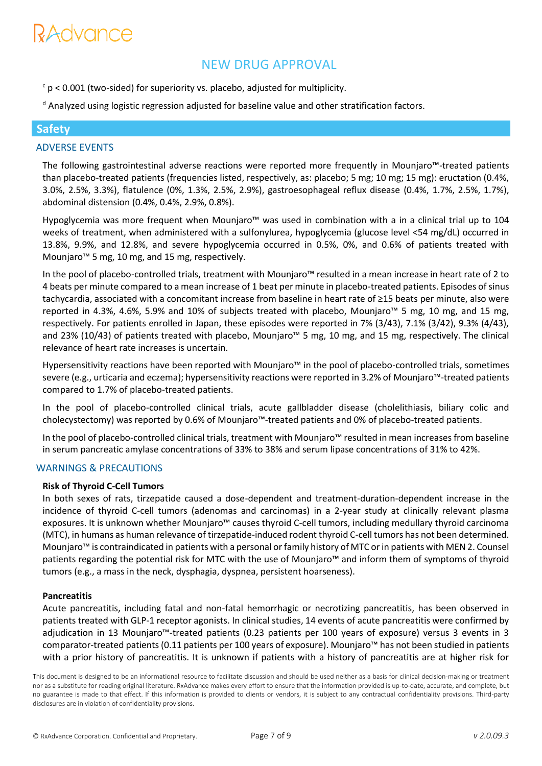# RAdvance

## NEW DRUG APPROVAL

 $c$  p < 0.001 (two-sided) for superiority vs. placebo, adjusted for multiplicity.

<sup>d</sup> Analyzed using logistic regression adjusted for baseline value and other stratification factors.

## **Safety**

## ADVERSE EVENTS

The following gastrointestinal adverse reactions were reported more frequently in Mounjaro™-treated patients than placebo-treated patients (frequencies listed, respectively, as: placebo; 5 mg; 10 mg; 15 mg): eructation (0.4%, 3.0%, 2.5%, 3.3%), flatulence (0%, 1.3%, 2.5%, 2.9%), gastroesophageal reflux disease (0.4%, 1.7%, 2.5%, 1.7%), abdominal distension (0.4%, 0.4%, 2.9%, 0.8%).

Hypoglycemia was more frequent when Mounjaro™ was used in combination with a in a clinical trial up to 104 weeks of treatment, when administered with a sulfonylurea, hypoglycemia (glucose level <54 mg/dL) occurred in 13.8%, 9.9%, and 12.8%, and severe hypoglycemia occurred in 0.5%, 0%, and 0.6% of patients treated with Mounjaro™ 5 mg, 10 mg, and 15 mg, respectively.

In the pool of placebo-controlled trials, treatment with Mounjaro™ resulted in a mean increase in heart rate of 2 to 4 beats per minute compared to a mean increase of 1 beat per minute in placebo-treated patients. Episodes of sinus tachycardia, associated with a concomitant increase from baseline in heart rate of ≥15 beats per minute, also were reported in 4.3%, 4.6%, 5.9% and 10% of subjects treated with placebo, Mounjaro™ 5 mg, 10 mg, and 15 mg, respectively. For patients enrolled in Japan, these episodes were reported in 7% (3/43), 7.1% (3/42), 9.3% (4/43), and 23% (10/43) of patients treated with placebo, Mounjaro™ 5 mg, 10 mg, and 15 mg, respectively. The clinical relevance of heart rate increases is uncertain.

Hypersensitivity reactions have been reported with Mounjaro™ in the pool of placebo-controlled trials, sometimes severe (e.g., urticaria and eczema); hypersensitivity reactions were reported in 3.2% of Mounjaro™-treated patients compared to 1.7% of placebo-treated patients.

In the pool of placebo-controlled clinical trials, acute gallbladder disease (cholelithiasis, biliary colic and cholecystectomy) was reported by 0.6% of Mounjaro™-treated patients and 0% of placebo-treated patients.

In the pool of placebo-controlled clinical trials, treatment with Mounjaro™ resulted in mean increases from baseline in serum pancreatic amylase concentrations of 33% to 38% and serum lipase concentrations of 31% to 42%.

#### WARNINGS & PRECAUTIONS

#### **Risk of Thyroid C-Cell Tumors**

In both sexes of rats, tirzepatide caused a dose-dependent and treatment-duration-dependent increase in the incidence of thyroid C-cell tumors (adenomas and carcinomas) in a 2-year study at clinically relevant plasma exposures. It is unknown whether Mounjaro™ causes thyroid C-cell tumors, including medullary thyroid carcinoma (MTC), in humans as human relevance of tirzepatide-induced rodent thyroid C-cell tumors has not been determined. Mounjaro™ is contraindicated in patients with a personal or family history of MTC or in patients with MEN 2. Counsel patients regarding the potential risk for MTC with the use of Mounjaro™ and inform them of symptoms of thyroid tumors (e.g., a mass in the neck, dysphagia, dyspnea, persistent hoarseness).

#### **Pancreatitis**

Acute pancreatitis, including fatal and non-fatal hemorrhagic or necrotizing pancreatitis, has been observed in patients treated with GLP-1 receptor agonists. In clinical studies, 14 events of acute pancreatitis were confirmed by adjudication in 13 Mounjaro™-treated patients (0.23 patients per 100 years of exposure) versus 3 events in 3 comparator-treated patients (0.11 patients per 100 years of exposure). Mounjaro™ has not been studied in patients with a prior history of pancreatitis. It is unknown if patients with a history of pancreatitis are at higher risk for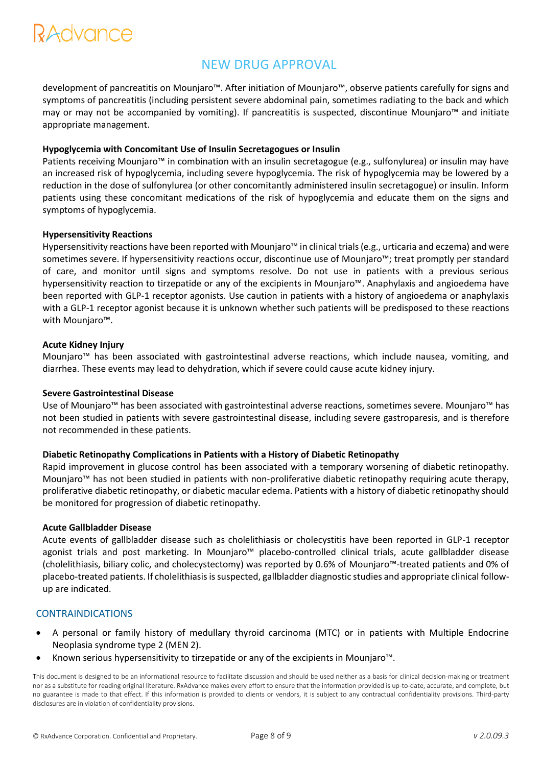# RAdvance

# NEW DRUG APPROVAL

development of pancreatitis on Mounjaro™. After initiation of Mounjaro™, observe patients carefully for signs and symptoms of pancreatitis (including persistent severe abdominal pain, sometimes radiating to the back and which may or may not be accompanied by vomiting). If pancreatitis is suspected, discontinue Mounjaro™ and initiate appropriate management.

#### **Hypoglycemia with Concomitant Use of Insulin Secretagogues or Insulin**

Patients receiving Mounjaro™ in combination with an insulin secretagogue (e.g., sulfonylurea) or insulin may have an increased risk of hypoglycemia, including severe hypoglycemia. The risk of hypoglycemia may be lowered by a reduction in the dose of sulfonylurea (or other concomitantly administered insulin secretagogue) or insulin. Inform patients using these concomitant medications of the risk of hypoglycemia and educate them on the signs and symptoms of hypoglycemia.

#### **Hypersensitivity Reactions**

Hypersensitivity reactions have been reported with Mounjaro™ in clinical trials (e.g., urticaria and eczema) and were sometimes severe. If hypersensitivity reactions occur, discontinue use of Mounjaro™; treat promptly per standard of care, and monitor until signs and symptoms resolve. Do not use in patients with a previous serious hypersensitivity reaction to tirzepatide or any of the excipients in Mounjaro™. Anaphylaxis and angioedema have been reported with GLP-1 receptor agonists. Use caution in patients with a history of angioedema or anaphylaxis with a GLP-1 receptor agonist because it is unknown whether such patients will be predisposed to these reactions with Mounjaro™.

#### **Acute Kidney Injury**

Mounjaro™ has been associated with gastrointestinal adverse reactions, which include nausea, vomiting, and diarrhea. These events may lead to dehydration, which if severe could cause acute kidney injury.

#### **Severe Gastrointestinal Disease**

Use of Mounjaro™ has been associated with gastrointestinal adverse reactions, sometimes severe. Mounjaro™ has not been studied in patients with severe gastrointestinal disease, including severe gastroparesis, and is therefore not recommended in these patients.

#### **Diabetic Retinopathy Complications in Patients with a History of Diabetic Retinopathy**

Rapid improvement in glucose control has been associated with a temporary worsening of diabetic retinopathy. Mounjaro™ has not been studied in patients with non-proliferative diabetic retinopathy requiring acute therapy, proliferative diabetic retinopathy, or diabetic macular edema. Patients with a history of diabetic retinopathy should be monitored for progression of diabetic retinopathy.

#### **Acute Gallbladder Disease**

Acute events of gallbladder disease such as cholelithiasis or cholecystitis have been reported in GLP-1 receptor agonist trials and post marketing. In Mounjaro™ placebo-controlled clinical trials, acute gallbladder disease (cholelithiasis, biliary colic, and cholecystectomy) was reported by 0.6% of Mounjaro™-treated patients and 0% of placebo-treated patients. If cholelithiasis is suspected, gallbladder diagnostic studies and appropriate clinical followup are indicated.

#### CONTRAINDICATIONS

- A personal or family history of medullary thyroid carcinoma (MTC) or in patients with Multiple Endocrine Neoplasia syndrome type 2 (MEN 2).
- Known serious hypersensitivity to tirzepatide or any of the excipients in Mounjaro™.